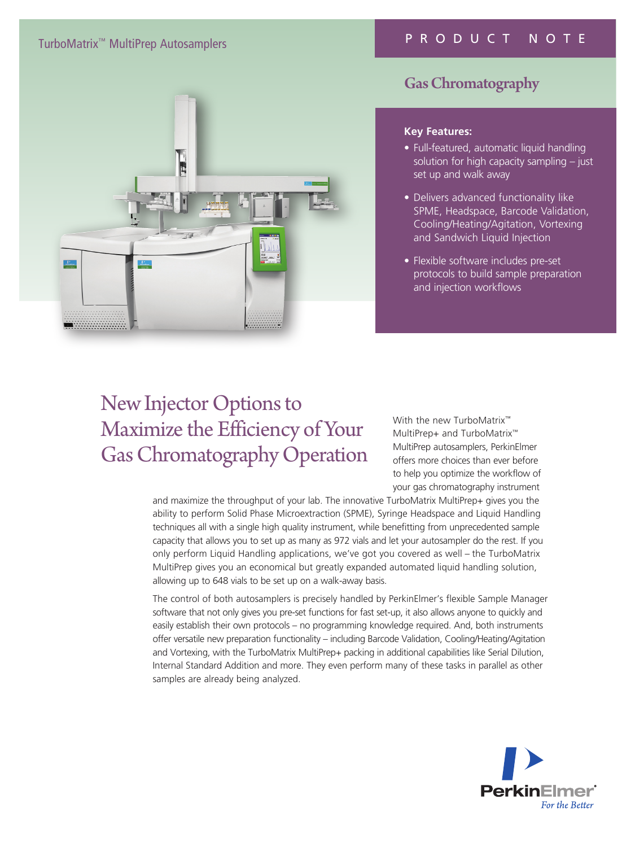# TurboMatrix™ MultiPrep Autosamplers

# PRODUCT NOTE



# Gas Chromatography

#### **Key Features:**

- Full-featured, automatic liquid handling solution for high capacity sampling - just set up and walk away
- Delivers advanced functionality like SPME, Headspace, Barcode Validation, Cooling/Heating/Agitation, Vortexing and Sandwich Liquid Injection
- Flexible software includes pre-set protocols to build sample preparation and injection workflows

# New Injector Options to Maximize the Efficiency of Your Gas Chromatography Operation

With the new TurboMatrix<sup>™</sup> MultiPrep+ and TurboMatrix™ MultiPrep autosamplers, PerkinElmer offers more choices than ever before to help you optimize the workflow of your gas chromatography instrument

and maximize the throughput of your lab. The innovative TurboMatrix MultiPrep+ gives you the ability to perform Solid Phase Microextraction (SPME), Syringe Headspace and Liquid Handling techniques all with a single high quality instrument, while benefitting from unprecedented sample capacity that allows you to set up as many as 972 vials and let your autosampler do the rest. If you only perform Liquid Handling applications, we've got you covered as well – the TurboMatrix MultiPrep gives you an economical but greatly expanded automated liquid handling solution, allowing up to 648 vials to be set up on a walk-away basis.

The control of both autosamplers is precisely handled by PerkinElmer's flexible Sample Manager software that not only gives you pre-set functions for fast set-up, it also allows anyone to quickly and easily establish their own protocols – no programming knowledge required. And, both instruments offer versatile new preparation functionality – including Barcode Validation, Cooling/Heating/Agitation and Vortexing, with the TurboMatrix MultiPrep+ packing in additional capabilities like Serial Dilution, Internal Standard Addition and more. They even perform many of these tasks in parallel as other samples are already being analyzed.

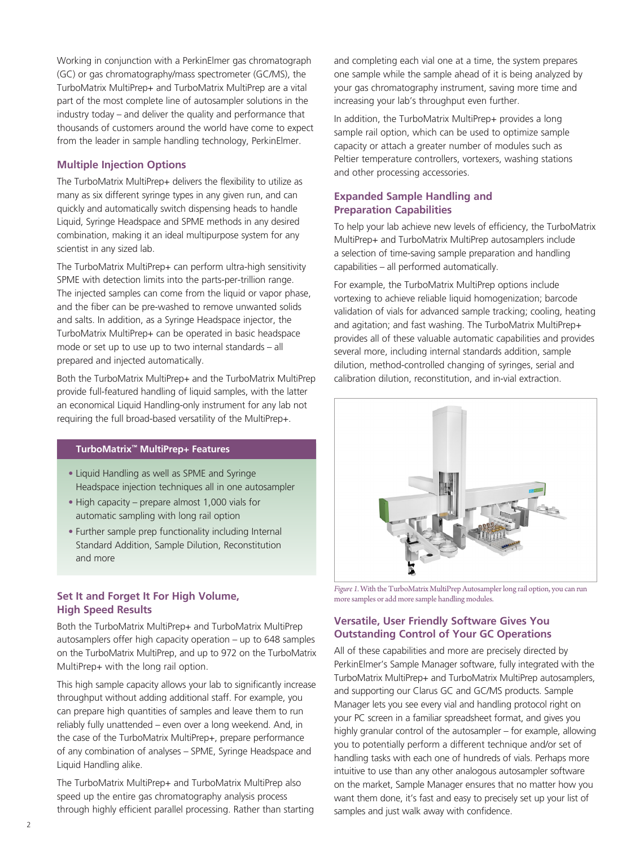Working in conjunction with a PerkinElmer gas chromatograph (GC) or gas chromatography/mass spectrometer (GC/MS), the TurboMatrix MultiPrep+ and TurboMatrix MultiPrep are a vital part of the most complete line of autosampler solutions in the industry today – and deliver the quality and performance that thousands of customers around the world have come to expect from the leader in sample handling technology, PerkinElmer.

# **Multiple Injection Options**

The TurboMatrix MultiPrep+ delivers the flexibility to utilize as many as six different syringe types in any given run, and can quickly and automatically switch dispensing heads to handle Liquid, Syringe Headspace and SPME methods in any desired combination, making it an ideal multipurpose system for any scientist in any sized lab.

The TurboMatrix MultiPrep+ can perform ultra-high sensitivity SPME with detection limits into the parts-per-trillion range. The injected samples can come from the liquid or vapor phase, and the fiber can be pre-washed to remove unwanted solids and salts. In addition, as a Syringe Headspace injector, the TurboMatrix MultiPrep+ can be operated in basic headspace mode or set up to use up to two internal standards – all prepared and injected automatically.

Both the TurboMatrix MultiPrep+ and the TurboMatrix MultiPrep provide full-featured handling of liquid samples, with the latter an economical Liquid Handling-only instrument for any lab not requiring the full broad-based versatility of the MultiPrep+.

#### **TurboMatrix™ MultiPrep+ Features**

- Liquid Handling as well as SPME and Syringe Headspace injection techniques all in one autosampler
- High capacity prepare almost 1,000 vials for automatic sampling with long rail option
- Further sample prep functionality including Internal Standard Addition, Sample Dilution, Reconstitution and more

# **High Speed Results**

Both the TurboMatrix MultiPrep+ and TurboMatrix MultiPrep autosamplers offer high capacity operation – up to 648 samples on the TurboMatrix MultiPrep, and up to 972 on the TurboMatrix MultiPrep+ with the long rail option.

This high sample capacity allows your lab to significantly increase throughput without adding additional staff. For example, you can prepare high quantities of samples and leave them to run reliably fully unattended – even over a long weekend. And, in the case of the TurboMatrix MultiPrep+, prepare performance of any combination of analyses – SPME, Syringe Headspace and Liquid Handling alike.

The TurboMatrix MultiPrep+ and TurboMatrix MultiPrep also speed up the entire gas chromatography analysis process through highly efficient parallel processing. Rather than starting

and completing each vial one at a time, the system prepares one sample while the sample ahead of it is being analyzed by your gas chromatography instrument, saving more time and increasing your lab's throughput even further.

In addition, the TurboMatrix MultiPrep+ provides a long sample rail option, which can be used to optimize sample capacity or attach a greater number of modules such as Peltier temperature controllers, vortexers, washing stations and other processing accessories.

### **Expanded Sample Handling and Preparation Capabilities**

To help your lab achieve new levels of efficiency, the TurboMatrix MultiPrep+ and TurboMatrix MultiPrep autosamplers include a selection of time-saving sample preparation and handling capabilities – all performed automatically.

For example, the TurboMatrix MultiPrep options include vortexing to achieve reliable liquid homogenization; barcode validation of vials for advanced sample tracking; cooling, heating and agitation; and fast washing. The TurboMatrix MultiPrep+ provides all of these valuable automatic capabilities and provides several more, including internal standards addition, sample dilution, method-controlled changing of syringes, serial and calibration dilution, reconstitution, and in-vial extraction.



**Figure 1. With the TurboMatrix MultiPrep Autosampler long rail option, you can run** Figure 1. With the TurboMatrix MultiPrep Autosampler long rail option, you can run more samples or add more sample handling modules.

# **Versatile, User Friendly Software Gives You Outstanding Control of Your GC Operations**

All of these capabilities and more are precisely directed by PerkinElmer's Sample Manager software, fully integrated with the TurboMatrix MultiPrep+ and TurboMatrix MultiPrep autosamplers, and supporting our Clarus GC and GC/MS products. Sample Manager lets you see every vial and handling protocol right on your PC screen in a familiar spreadsheet format, and gives you highly granular control of the autosampler – for example, allowing you to potentially perform a different technique and/or set of handling tasks with each one of hundreds of vials. Perhaps more intuitive to use than any other analogous autosampler software on the market, Sample Manager ensures that no matter how you want them done, it's fast and easy to precisely set up your list of samples and just walk away with confidence.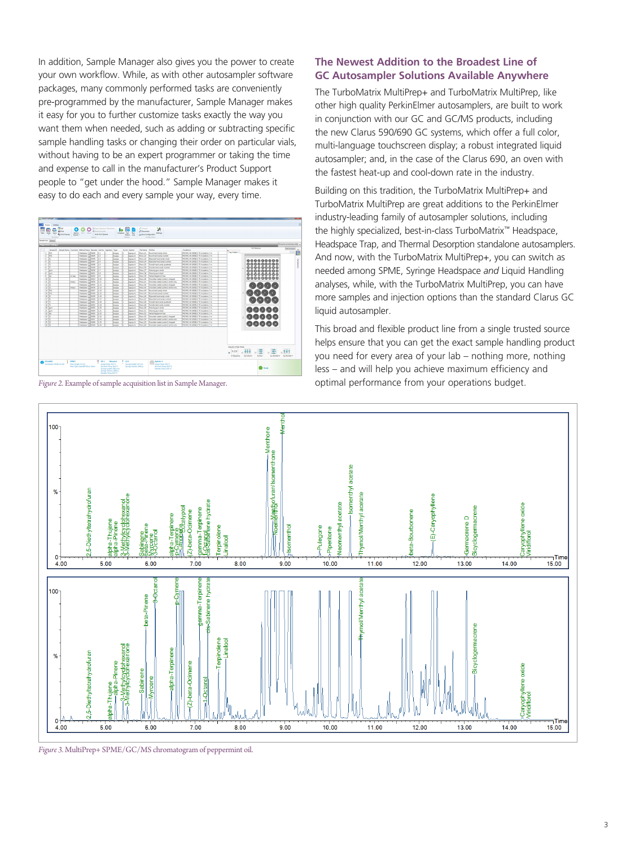In addition, Sample Manager also gives you the power to create your own workflow. While, as with other autosampler software packages, many commonly performed tasks are conveniently pre-programmed by the manufacturer, Sample Manager makes it easy for you to further customize tasks exactly the way you want them when needed, such as adding or subtracting specific sample handling tasks or changing their order on particular vials, without having to be an expert programmer or taking the time and expense to call in the manufacturer's Product Support people to "get under the hood." Sample Manager makes it easy to do each and every sample your way, every time.



*Figure 2.* Example of sample acquisition list in Sample Manager.

### **The Newest Addition to the Broadest Line of GC Autosampler Solutions Available Anywhere**

The TurboMatrix MultiPrep+ and TurboMatrix MultiPrep, like other high quality PerkinElmer autosamplers, are built to work in conjunction with our GC and GC/MS products, including the new Clarus 590/690 GC systems, which offer a full color, multi-language touchscreen display; a robust integrated liquid autosampler; and, in the case of the Clarus 690, an oven with the fastest heat-up and cool-down rate in the industry.

Building on this tradition, the TurboMatrix MultiPrep+ and TurboMatrix MultiPrep are great additions to the PerkinElmer industry-leading family of autosampler solutions, including the highly specialized, best-in-class TurboMatrix™ Headspace, Headspace Trap, and Thermal Desorption standalone autosamplers. And now, with the TurboMatrix MultiPrep+, you can switch as needed among SPME, Syringe Headspace *and* Liquid Handling analyses, while, with the TurboMatrix MultiPrep, you can have more samples and injection options than the standard Clarus GC liquid autosampler.

This broad and flexible product line from a single trusted source helps ensure that you can get the exact sample handling product you need for every area of your lab – nothing more, nothing less – and will help you achieve maximum efficiency and optimal performance from your operations budget.



*Figure 3.* MultiPrep+ SPME/GC/MS chromatogram of peppermint oil.